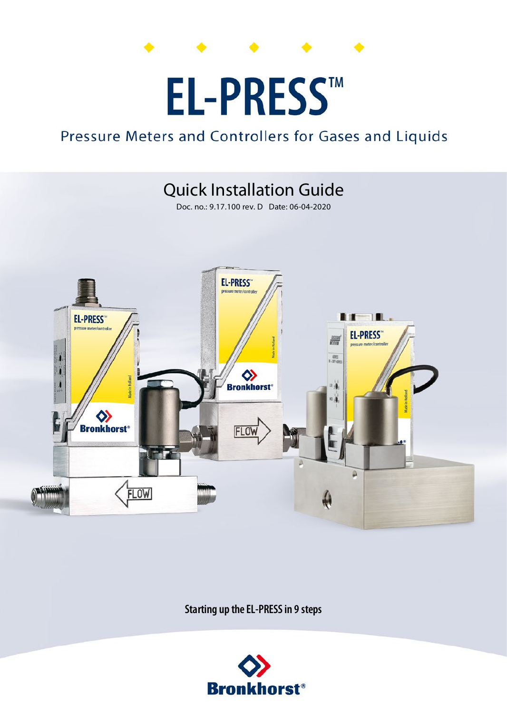# **EL-PRESS™**

### Pressure Meters and Controllers for Gases and Liquids

## **Quick Installation Guide**

Doc. no.: 9.17.100 rev. D Date: 06-04-2020



Starting up the EL-PRESS in 9 steps

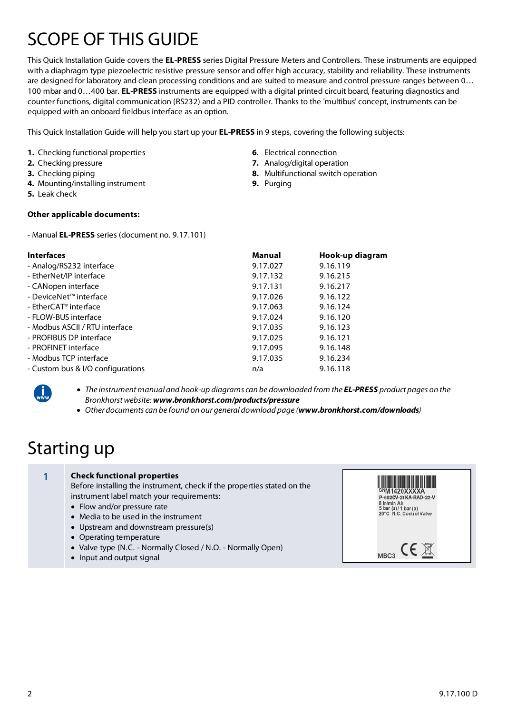## SCOPE OF THIS GUIDE

This Quick Installation Guide covers the **EL-PRESS** series Digital Pressure Meters and Controllers. These instruments are equipped with a diaphragm type piezoelectric resistive pressure sensor and offer high accuracy, stability and reliability. These instruments are designed for laboratory and clean processing conditions and are suited to measure and control pressure ranges between 0… 100 mbar and 0…400 bar. **EL-PRESS** instruments are equipped with a digital printed circuit board, featuring diagnostics and counter functions, digital communication (RS232) and a PID controller. Thanks to the 'multibus' concept, instruments can be equipped with an onboard fieldbus interface as an option.

This Quick Installation Guide will help you start up your **EL-PRESS** in 9 steps, covering the following subjects:

- **1.** Checking functional properties
- **2.** Checking pressure
- **3.** Checking piping
- **4.** Mounting/installing instrument
- **5.** Leak check

#### **Other applicable documents:**

- Manual **EL-PRESS** series (document no. 9.17.101)

| Manual   | Hook-up diagram |
|----------|-----------------|
| 9.17.027 | 9.16.119        |
| 9.17.132 | 9.16.215        |
| 9.17.131 | 9.16.217        |
| 9.17.026 | 9.16.122        |
| 9.17.063 | 9.16.124        |
| 9.17.024 | 9.16.120        |
| 9.17.035 | 9.16.123        |
| 9.17.025 | 9.16.121        |
| 9.17.095 | 9.16.148        |
| 9.17.035 | 9.16.234        |
| n/a      | 9.16.118        |
|          |                 |



 *The instrument manual and hook-up diagrams can be downloaded from the EL-PRESS product pages on the Bronkhorst website: www.bronkhorst.com/products/pressure*

*Other documents can be found on our general download page (www.bronkhorst.com/downloads)*

## Starting up

#### **1 Check functional properties**

Before installing the instrument, check if the properties stated on the instrument label match your requirements:

- Flow and/or pressure rate
- Media to be used in the instrument
- Upstream and downstream pressure(s)
- Operating temperature
- Valve type (N.C. Normally Closed / N.O. Normally Open)
- Input and output signal



- **6**. Electrical connection
- **7.** Analog/digital operation
- **8.** Multifunctional switch operation
- **9.** Purging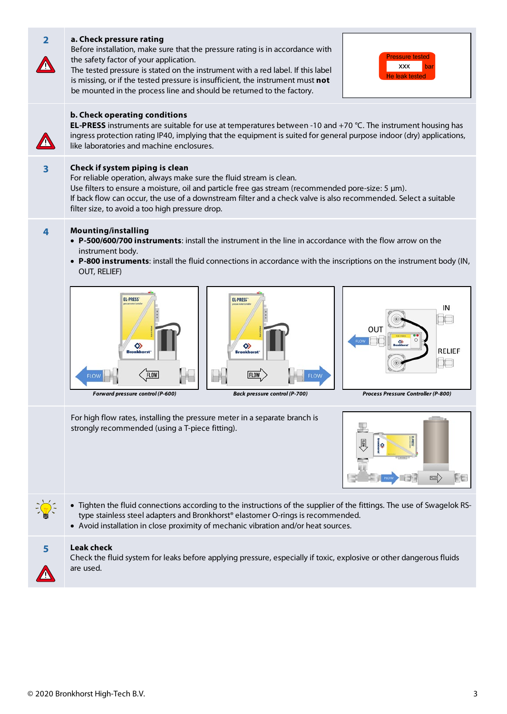| $\overline{2}$ | a. Check pressure rating<br>Before installation, make sure that the pressure rating is in accordance with<br>the safety factor of your application.<br>The tested pressure is stated on the instrument with a red label. If this label<br>is missing, or if the tested pressure is insufficient, the instrument must not<br>be mounted in the process line and should be returned to the factory. | <b>Pressure tested</b><br><b>XXX</b><br>le leak tested                      |  |
|----------------|---------------------------------------------------------------------------------------------------------------------------------------------------------------------------------------------------------------------------------------------------------------------------------------------------------------------------------------------------------------------------------------------------|-----------------------------------------------------------------------------|--|
|                | b. Check operating conditions<br><b>EL-PRESS</b> instruments are suitable for use at temperatures between -10 and +70 °C. The instrument housing has<br>ingress protection rating IP40, implying that the equipment is suited for general purpose indoor (dry) applications,<br>like laboratories and machine enclosures.                                                                         |                                                                             |  |
| 3              | Check if system piping is clean<br>For reliable operation, always make sure the fluid stream is clean.<br>Use filters to ensure a moisture, oil and particle free gas stream (recommended pore-size: 5 µm).<br>If back flow can occur, the use of a downstream filter and a check valve is also recommended. Select a suitable<br>filter size, to avoid a too high pressure drop.                 |                                                                             |  |
| 4              | <b>Mounting/installing</b><br>• P-500/600/700 instruments: install the instrument in the line in accordance with the flow arrow on the<br>instrument body.<br>. P-800 instruments: install the fluid connections in accordance with the inscriptions on the instrument body (IN,<br>OUT, RELIEF)                                                                                                  |                                                                             |  |
|                | <b>EL-PRESS</b><br><b>EL-PRESS</b><br>◇<br>◇<br><b>Rronkhore</b><br><b>Bronkhor</b><br><b>FLOV</b><br>Forward pressure control (P-600)<br><b>Back pressure control (P-700)</b>                                                                                                                                                                                                                    | IN<br>OUT<br><b>RELIEF</b><br>$\Box$<br>Process Pressure Controller (P-800) |  |
|                | For high flow rates, installing the pressure meter in a separate branch is<br>strongly recommended (using a T-piece fitting).                                                                                                                                                                                                                                                                     | <b>FLOW</b><br>FE                                                           |  |
|                | • Tighten the fluid connections according to the instructions of the supplier of the fittings. The use of Swagelok RS-<br>type stainless steel adapters and Bronkhorst® elastomer O-rings is recommended.<br>• Avoid installation in close proximity of mechanic vibration and/or heat sources.                                                                                                   |                                                                             |  |
| 5              | Leak check<br>Check the fluid system for leaks before applying pressure, especially if toxic, explosive or other dangerous fluids<br>are used.                                                                                                                                                                                                                                                    |                                                                             |  |

**COL**